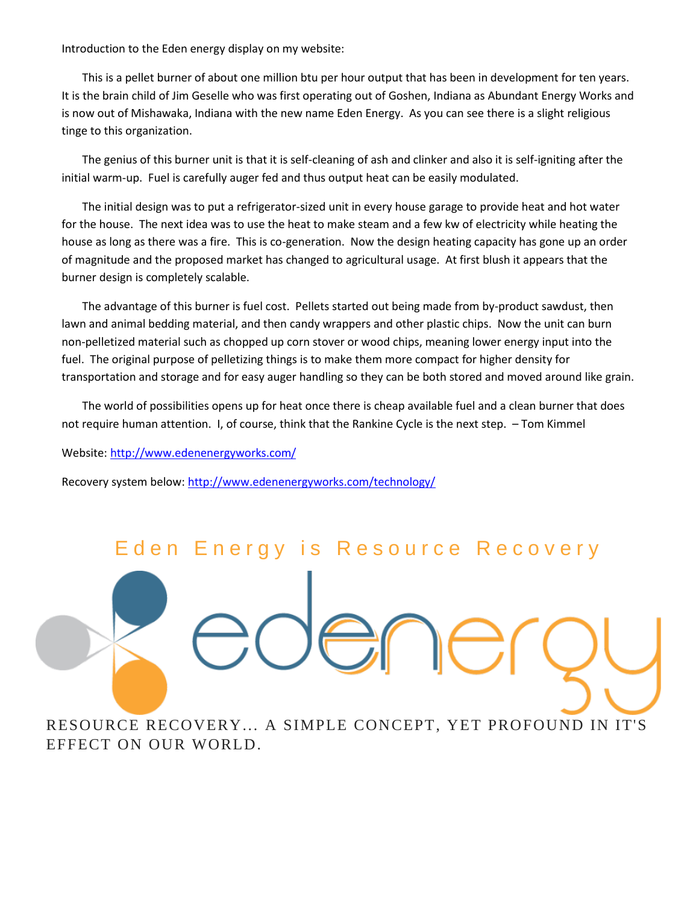Introduction to the Eden energy display on my website:

This is a pellet burner of about one million btu per hour output that has been in development for ten years. It is the brain child of Jim Geselle who was first operating out of Goshen, Indiana as Abundant Energy Works and is now out of Mishawaka, Indiana with the new name Eden Energy. As you can see there is a slight religious tinge to this organization.

The genius of this burner unit is that it is self-cleaning of ash and clinker and also it is self-igniting after the initial warm-up. Fuel is carefully auger fed and thus output heat can be easily modulated.

The initial design was to put a refrigerator-sized unit in every house garage to provide heat and hot water for the house. The next idea was to use the heat to make steam and a few kw of electricity while heating the house as long as there was a fire. This is co-generation. Now the design heating capacity has gone up an order of magnitude and the proposed market has changed to agricultural usage. At first blush it appears that the burner design is completely scalable.

The advantage of this burner is fuel cost. Pellets started out being made from by-product sawdust, then lawn and animal bedding material, and then candy wrappers and other plastic chips. Now the unit can burn non-pelletized material such as chopped up corn stover or wood chips, meaning lower energy input into the fuel. The original purpose of pelletizing things is to make them more compact for higher density for transportation and storage and for easy auger handling so they can be both stored and moved around like grain.

The world of possibilities opens up for heat once there is cheap available fuel and a clean burner that does not require human attention. I, of course, think that the Rankine Cycle is the next step. – Tom Kimmel

Website[: http://www.edenenergyworks.com/](http://www.edenenergyworks.com/)

Recovery system below[: http://www.edenenergyworks.com/technology/](http://www.edenenergyworks.com/technology/)

## E den Energy is Resource Recovery

RESOURCE RECOVERY... A SIMPLE CONCEPT, YET PROFOUND IN IT'S EFFECT ON OUR WORLD.